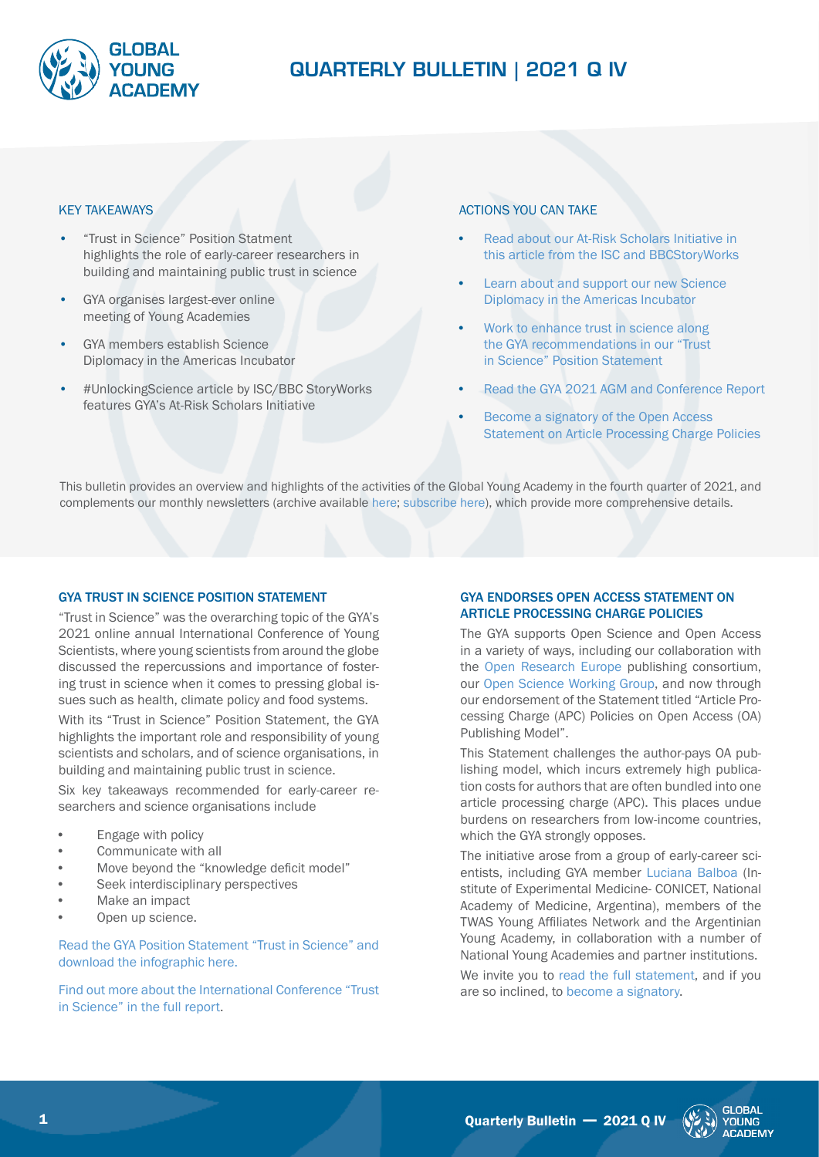

# QUARTERLY BULLETIN | 2021 Q IV

#### KEY TAKEAWAYS

- "Trust in Science" Position Statment highlights the role of early-career researchers in building and maintaining public trust in science
- GYA organises largest-ever online meeting of Young Academies
- GYA members establish Science Diplomacy in the Americas Incubator
- #UnlockingScience article by ISC/BBC StoryWorks features GYA's At-Risk Scholars Initiative

## ACTIONS YOU CAN TAKE

- **•** [Read about our At-Risk Scholars Initiative in](https://stories.council.science/unlocking-science-scientific-knowledge-lost-to-conflict/)  [this article from the ISC and BBCStoryWorks](https://stories.council.science/unlocking-science-scientific-knowledge-lost-to-conflict/)
- **•** [Learn about and support our new Science](https://globalyoungacademy.net/activities/science-diplomacy-in-the-americas/)  [Diplomacy in the Americas Inc](https://globalyoungacademy.net/activities/science-diplomacy-in-the-americas/)ubator
- **•** [Work to enhance trust in science along](https://globalyoungacademy.net/wp-content/uploads/2021/10/Conference-Statement_2021_Trust-in-Science.pdf)  [the GYA recommendations in our "Trust](https://globalyoungacademy.net/wp-content/uploads/2021/10/Conference-Statement_2021_Trust-in-Science.pdf)  [in Science" Position Statement](https://globalyoungacademy.net/wp-content/uploads/2021/10/Conference-Statement_2021_Trust-in-Science.pdf)
- **•** [Read the GYA 2021 AGM and Conference Report](https://globalyoungacademy.net/wp-content/uploads/2021/11/Conference-Report-2021-02.11.2021-2.pdf)
- **•** [Become a signatory of the Open Access](https://docs.google.com/forms/d/e/1FAIpQLScviZGzU1AmzYCZbZJmS3aBwStRsJwAKuekPfLos7A8o0MFyg/viewform)  [Statement on Article Processing Charge Policies](https://docs.google.com/forms/d/e/1FAIpQLScviZGzU1AmzYCZbZJmS3aBwStRsJwAKuekPfLos7A8o0MFyg/viewform)

This bulletin provides an overview and highlights of the activities of the Global Young Academy in the fourth quarter of 2021, and complements our monthly newsletters (archive available [here;](https://globalyoungacademy.net/newsletter-archive/) [subscribe here\)](https://globalyoungacademy.net/subscribe-to-the-gya-newsletter/), which provide more comprehensive details.

## GYA TRUST IN SCIENCE POSITION STATEMENT

"Trust in Science" was the overarching topic of the GYA's 2021 online annual International Conference of Young Scientists, where young scientists from around the globe discussed the repercussions and importance of fostering trust in science when it comes to pressing global issues such as health, climate policy and food systems.

With its "Trust in Science" Position Statement, the GYA highlights the important role and responsibility of young scientists and scholars, and of science organisations, in building and maintaining public trust in science.

Six key takeaways recommended for early-career researchers and science organisations include

- **•** Engage with policy
- **•** Communicate with all
- **•** Move beyond the "knowledge deficit model"
- **•** Seek interdisciplinary perspectives
- **•** Make an impact
- **•** Open up science.

[Read the GYA Position Statement "Trust in Science" and](https://globalyoungacademy.net/gya-releases-position-statement-on-trust-in-science/)  [download the infographic here](https://globalyoungacademy.net/gya-releases-position-statement-on-trust-in-science/).

[Find out more about the International Conference "Trust](https://globalyoungacademy.net/wp-content/uploads/2021/11/Conference-Report-2021-02.11.2021-2.pdf)  [in Science" in the full report](https://globalyoungacademy.net/wp-content/uploads/2021/11/Conference-Report-2021-02.11.2021-2.pdf).

## GYA ENDORSES OPEN ACCESS STATEMENT ON ARTICLE PROCESSING CHARGE POLICIES

The GYA supports Open Science and Open Access in a variety of ways, including our collaboration with the [Open Research Europe](https://globalyoungacademy.net/gya-f1000-open-research-europe-resource-page/) publishing consortium, our [Open Science Working Group](https://globalyoungacademy.net/activities/open-science/), and now through our endorsement of the Statement titled "Article Processing Charge (APC) Policies on Open Access (OA) Publishing Model".

This Statement challenges the author-pays OA publishing model, which incurs extremely high publication costs for authors that are often bundled into one article processing charge (APC). This places undue burdens on researchers from low-income countries, which the GYA strongly opposes.

The initiative arose from a group of early-career scientists, including GYA member [Luciana Balboa](https://globalyoungacademy.net/lbalboa/) (Institute of Experimental Medicine- CONICET, National Academy of Medicine, Argentina), members of the TWAS Young Affiliates Network and the Argentinian Young Academy, in collaboration with a number of National Young Academies and partner institutions.

We invite you to [read the full statement](https://docs.google.com/forms/d/e/1FAIpQLScviZGzU1AmzYCZbZJmS3aBwStRsJwAKuekPfLos7A8o0MFyg/viewform), and if you are so inclined, to [become a signatory](https://docs.google.com/forms/d/e/1FAIpQLScviZGzU1AmzYCZbZJmS3aBwStRsJwAKuekPfLos7A8o0MFyg/viewform).